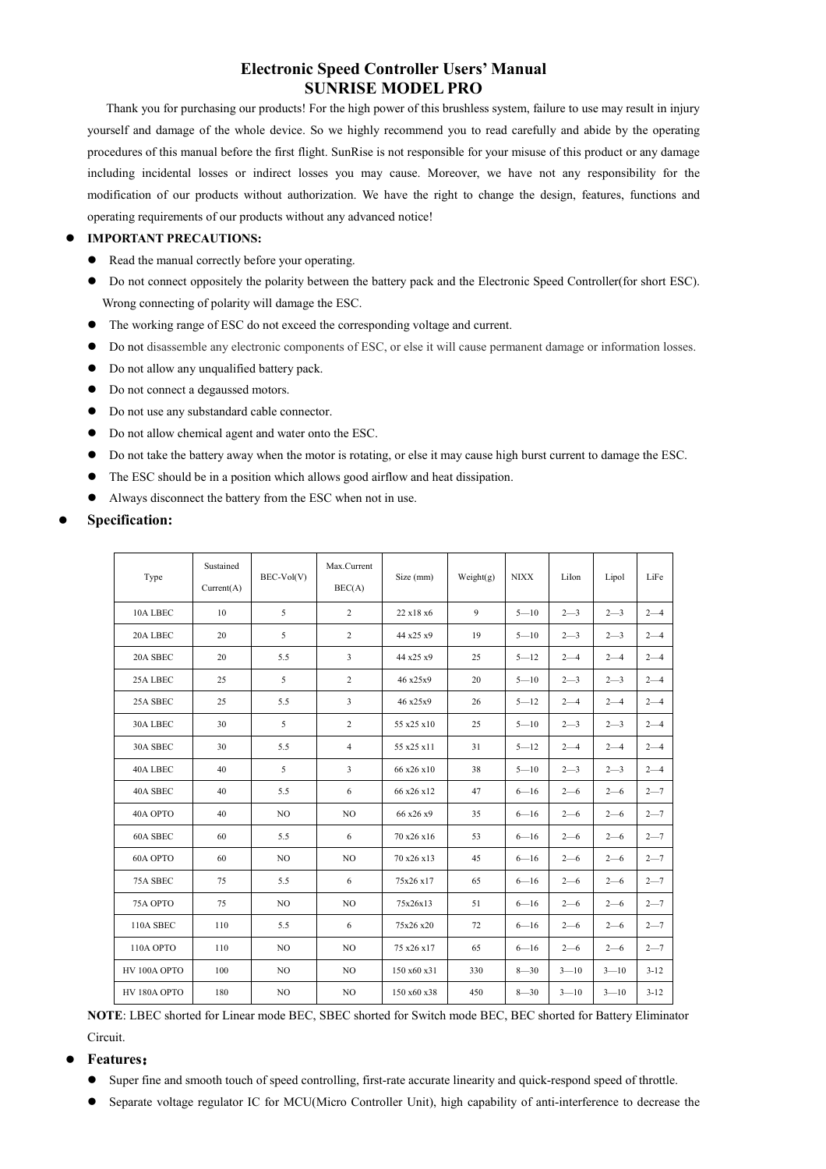Thank you for purchasing our products! For the high power of this brushless system, failure to use may result in injury yourself and damage of the whole device. So we highly recommend you to read carefully and abide by the operating procedures of this manual before the first flight. SunRise is not responsible for your misuse of this product or any damage including incidental losses or indirect losses you may cause. Moreover, we have not any responsibility for the modification of our products without authorization. We have the right to change the design, features, functions and operating requirements of our products without any advanced notice!

### **IMPORTANT PRECAUTIONS:**

- Read the manual correctly before your operating.
- Do not connect oppositely the polarity between the battery pack and the Electronic Speed Controller(for short ESC). Wrong connecting of polarity will damage the ESC.
- The working range of ESC do not exceed the corresponding voltage and current.
- Do not disassemble any electronic components of ESC, or else it will cause permanent damage or information losses.
- Do not allow any unqualified battery pack.
- $\bullet$  Do not connect a degaussed motors.
- Do not use any substandard cable connector.
- Do not allow chemical agent and water onto the ESC.
- Do not take the battery away when the motor is rotating, or else it may cause high burst current to damage the ESC.
- The ESC should be in a position which allows good airflow and heat dissipation.
- Always disconnect the battery from the ESC when not in use.

### **Specification:**

| Type         | Sustained<br>Current(A) | BEC-Vol(V)     | Max.Current<br>BEC(A) | Size (mm)   | Weight(g) | <b>NIXX</b> | LiIon    | Lipol    | LiFe     |
|--------------|-------------------------|----------------|-----------------------|-------------|-----------|-------------|----------|----------|----------|
| 10A LBEC     | 10                      | 5              | $\overline{2}$        | 22 x18 x6   | 9         | $5 - 10$    | $2 - 3$  | $2 - 3$  | $2 - 4$  |
| 20A LBEC     | 20                      | 5              | $\overline{c}$        | 44 x25 x9   | 19        | $5 - 10$    | $2 - 3$  | $2 - 3$  | $2 - 4$  |
| 20A SBEC     | 20                      | 5.5            | 3                     | 44 x25 x9   | 25        | $5 - 12$    | $2 - 4$  | $2 - 4$  | $2 - 4$  |
| 25A LBEC     | 25                      | 5              | 2                     | 46 x25x9    | 20        | $5 - 10$    | $2 - 3$  | $2 - 3$  | $2 - 4$  |
| 25A SBEC     | 25                      | 5.5            | 3                     | 46 x25x9    | 26        | $5 - 12$    | $2 - 4$  | $2 - 4$  | $2 - 4$  |
| 30A LBEC     | 30                      | 5              | $\overline{c}$        | 55 x25 x10  | 25        | $5 - 10$    | $2 - 3$  | $2 - 3$  | $2 - 4$  |
| 30A SBEC     | 30                      | 5.5            | $\overline{4}$        | 55 x25 x11  | 31        | $5 - 12$    | $2 - 4$  | $2 - 4$  | $2 - 4$  |
| 40A LBEC     | 40                      | 5              | 3                     | 66 x26 x10  | 38        | $5 - 10$    | $2 - 3$  | $2 - 3$  | $2 - 4$  |
| 40A SBEC     | 40                      | 5.5            | 6                     | 66 x26 x12  | 47        | $6 - 16$    | $2 - 6$  | $2 - 6$  | $2 - 7$  |
| 40A OPTO     | 40                      | N <sub>O</sub> | NO                    | 66 x26 x9   | 35        | $6 - 16$    | $2 - 6$  | $2 - 6$  | $2 - 7$  |
| 60A SBEC     | 60                      | 5.5            | 6                     | 70 x26 x16  | 53        | $6 - 16$    | $2 - 6$  | $2 - 6$  | $2 - 7$  |
| 60A OPTO     | 60                      | N <sub>O</sub> | N <sub>O</sub>        | 70 x26 x13  | 45        | $6 - 16$    | $2 - 6$  | $2 - 6$  | $2 - 7$  |
| 75A SBEC     | 75                      | 5.5            | 6                     | 75x26x17    | 65        | $6 - 16$    | $2 - 6$  | $2 - 6$  | $2 - 7$  |
| 75A OPTO     | 75                      | N <sub>O</sub> | N <sub>O</sub>        | 75x26x13    | 51        | $6 - 16$    | $2 - 6$  | $2 - 6$  | $2 - 7$  |
| 110A SBEC    | 110                     | 5.5            | 6                     | 75x26x20    | 72        | $6 - 16$    | $2 - 6$  | $2 - 6$  | $2 - 7$  |
| 110A OPTO    | 110                     | NO             | NO                    | 75 x26 x17  | 65        | $6 - 16$    | $2 - 6$  | $2 - 6$  | $2 - 7$  |
| HV 100A OPTO | 100                     | N <sub>O</sub> | N <sub>O</sub>        | 150 x60 x31 | 330       | $8 - 30$    | $3 - 10$ | $3 - 10$ | $3 - 12$ |
| HV 180A OPTO | 180                     | N <sub>O</sub> | NO                    | 150 x60 x38 | 450       | $8 - 30$    | $3 - 10$ | $3 - 10$ | $3 - 12$ |

**NOTE**: LBEC shorted for Linear mode BEC, SBEC shorted for Switch mode BEC, BEC shorted for Battery Eliminator Circuit.

### **Features**:

- Super fine and smooth touch of speed controlling, first-rate accurate linearity and quick-respond speed of throttle.
- Separate voltage regulator IC for MCU(Micro Controller Unit), high capability of anti-interference to decrease the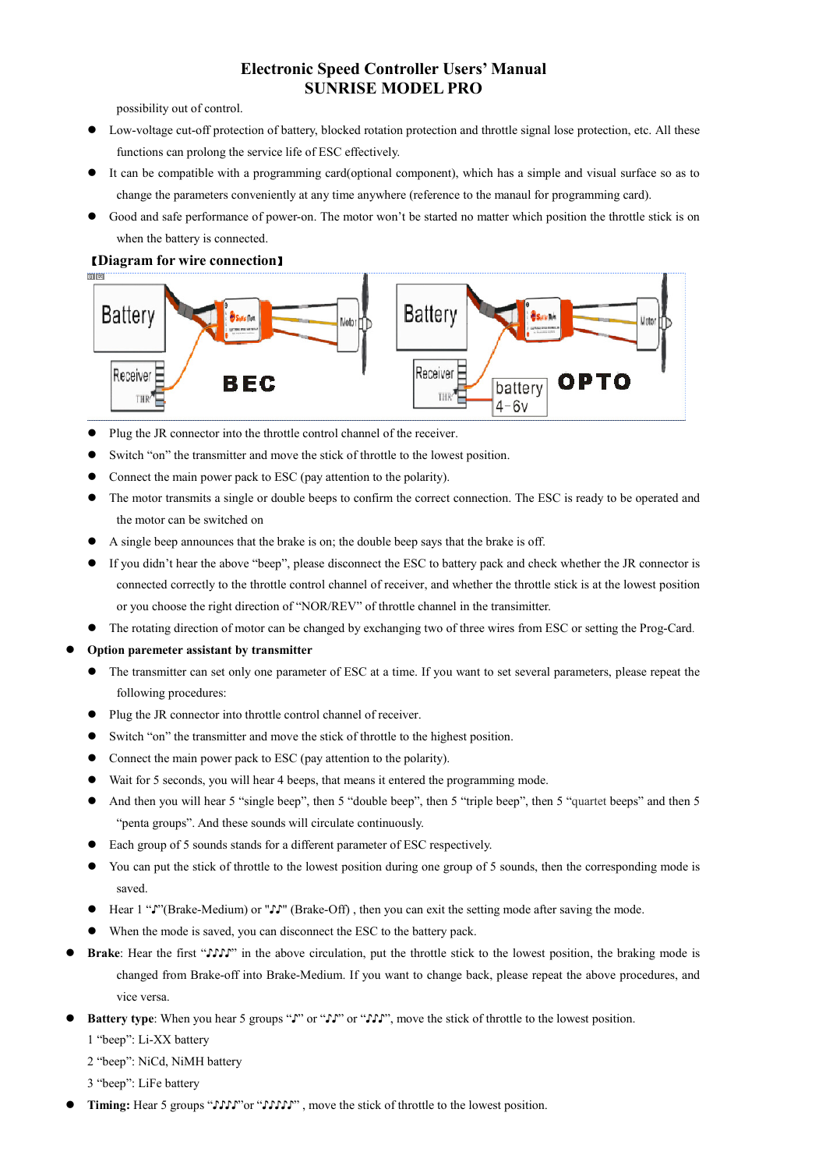possibility out of control.

- Low-voltage cut-off protection of battery, blocked rotation protection and throttle signal lose protection, etc. All these functions can prolong the service life of ESC effectively.
- It can be compatible with a programming card(optional component), which has a simple and visual surface so as to change the parameters conveniently at any time anywhere (reference to the manaul for programming card).
- Good and safe performance of power-on. The motor won't be started no matter which position the throttle stick is on when the battery is connected.

### 【**Diagram for wire connection**】



- Plug the JR connector into the throttle control channel of the receiver.
- Switch "on" the transmitter and move the stick of throttle to the lowest position.
- Connect the main power pack to ESC (pay attention to the polarity).
- The motor transmits a single or double beeps to confirm the correct connection. The ESC is ready to be operated and the motor can be switched on
- A single beep announces that the brake is on; the double beep says that the brake is off.
- If you didn't hear the above "beep", please disconnect the ESC to battery pack and check whether the JR connector is connected correctly to the throttle control channel of receiver, and whether the throttle stick is at the lowest position or you choose the right direction of "NOR/REV" of throttle channel in the transimitter.
- The rotating direction of motor can be changed by exchanging two of three wires from ESC or setting the Prog-Card.
- **Option paremeter assistant by transmitter** 
	- The transmitter can set only one parameter of ESC at a time. If you want to set several parameters, please repeat the following procedures:
	- Plug the JR connector into throttle control channel of receiver.
	- Switch "on" the transmitter and move the stick of throttle to the highest position.
	- Connect the main power pack to ESC (pay attention to the polarity).
	- Wait for 5 seconds, you will hear 4 beeps, that means it entered the programming mode.
	- And then you will hear 5 "single beep", then 5 "double beep", then 5 "triple beep", then 5 "quartet beeps" and then 5 "penta groups". And these sounds will circulate continuously.
	- Each group of 5 sounds stands for a different parameter of ESC respectively.
	- You can put the stick of throttle to the lowest position during one group of 5 sounds, then the corresponding mode is saved.
	- Hear 1 "♪"(Brake-Medium) or "♪♪" (Brake-Off) , then you can exit the setting mode after saving the mode.
	- When the mode is saved, you can disconnect the ESC to the battery pack.
- **Brake**: Hear the first "♪♪♪♪" in the above circulation, put the throttle stick to the lowest position, the braking mode is changed from Brake-off into Brake-Medium. If you want to change back, please repeat the above procedures, and vice versa.
- **Battery type**: When you hear 5 groups "↓" or "↓↓" or "↓↓", move the stick of throttle to the lowest position.

1 "beep": Li-XX battery

2 "beep": NiCd, NiMH battery

3 "beep": LiFe battery

Timing: Hear 5 groups " $\mathcal{V}\mathcal{V}\mathcal{V}$ "or " $\mathcal{V}\mathcal{V}\mathcal{V}\mathcal{V}$ ", move the stick of throttle to the lowest position.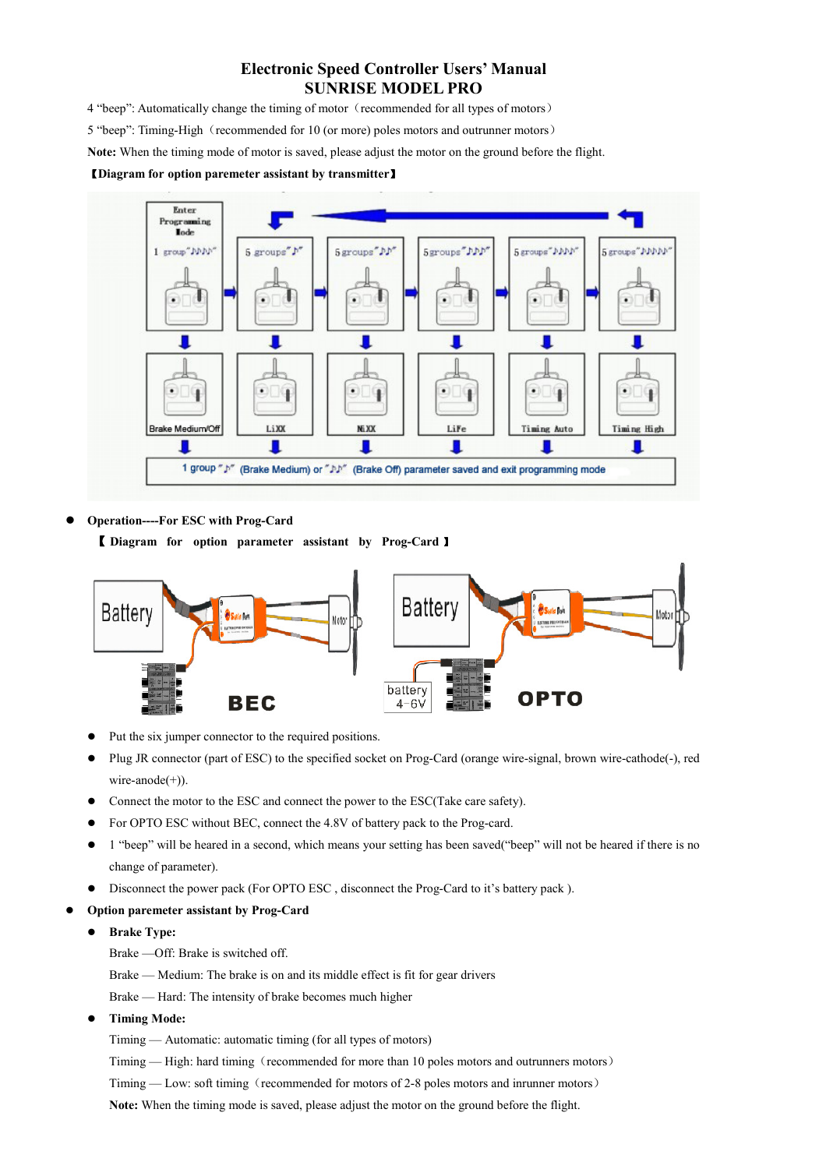4 "beep": Automatically change the timing of motor (recommended for all types of motors)

5 "beep": Timing-High (recommended for 10 (or more) poles motors and outrunner motors)

**Note:** When the timing mode of motor is saved, please adjust the motor on the ground before the flight.

#### 【**Diagram for option paremeter assistant by transmitter**】



**Operation----For ESC with Prog-Card** 

【 **Diagram for option parameter assistant by Prog-Card** 】



- Put the six jumper connector to the required positions.
- Plug JR connector (part of ESC) to the specified socket on Prog-Card (orange wire-signal, brown wire-cathode(-), red wire-anode $(+)$ ).
- Connect the motor to the ESC and connect the power to the ESC(Take care safety).
- For OPTO ESC without BEC, connect the 4.8V of battery pack to the Prog-card.
- 1 "beep" will be heared in a second, which means your setting has been saved("beep" will not be heared if there is no change of parameter).
- Disconnect the power pack (For OPTO ESC , disconnect the Prog-Card to it's battery pack ).
- **Option paremeter assistant by Prog-Card** 
	- **Brake Type:** 
		- Brake —Off: Brake is switched off.
		- Brake Medium: The brake is on and its middle effect is fit for gear drivers
		- Brake Hard: The intensity of brake becomes much higher
	- **Timing Mode:**

Timing — Automatic: automatic timing (for all types of motors)

Timing — High: hard timing (recommended for more than 10 poles motors and outrunners motors)

Timing — Low: soft timing (recommended for motors of 2-8 poles motors and inrunner motors)

**Note:** When the timing mode is saved, please adjust the motor on the ground before the flight.